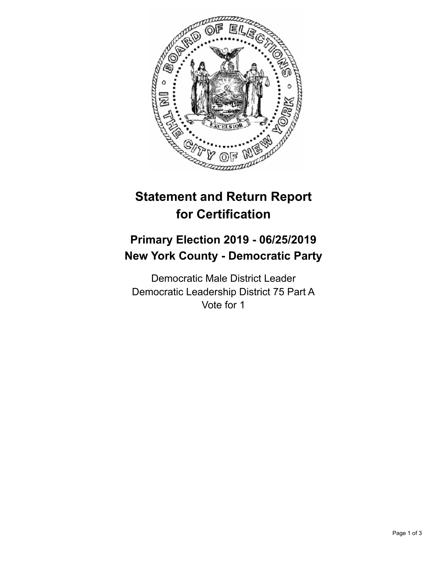

## **Statement and Return Report for Certification**

## **Primary Election 2019 - 06/25/2019 New York County - Democratic Party**

Democratic Male District Leader Democratic Leadership District 75 Part A Vote for 1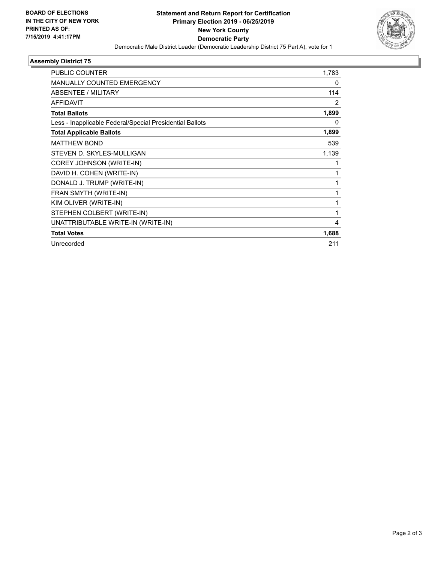

## **Assembly District 75**

| PUBLIC COUNTER                                           | 1,783        |
|----------------------------------------------------------|--------------|
| MANUALLY COUNTED EMERGENCY                               | 0            |
| ABSENTEE / MILITARY                                      | 114          |
| <b>AFFIDAVIT</b>                                         | 2            |
| <b>Total Ballots</b>                                     | 1,899        |
| Less - Inapplicable Federal/Special Presidential Ballots | 0            |
| <b>Total Applicable Ballots</b>                          | 1,899        |
| <b>MATTHEW BOND</b>                                      | 539          |
| STEVEN D. SKYLES-MULLIGAN                                | 1,139        |
| COREY JOHNSON (WRITE-IN)                                 |              |
| DAVID H. COHEN (WRITE-IN)                                |              |
| DONALD J. TRUMP (WRITE-IN)                               | 1            |
| FRAN SMYTH (WRITE-IN)                                    | $\mathbf{1}$ |
| KIM OLIVER (WRITE-IN)                                    | 1            |
| STEPHEN COLBERT (WRITE-IN)                               | 1            |
| UNATTRIBUTABLE WRITE-IN (WRITE-IN)                       | 4            |
| <b>Total Votes</b>                                       | 1,688        |
| Unrecorded                                               | 211          |